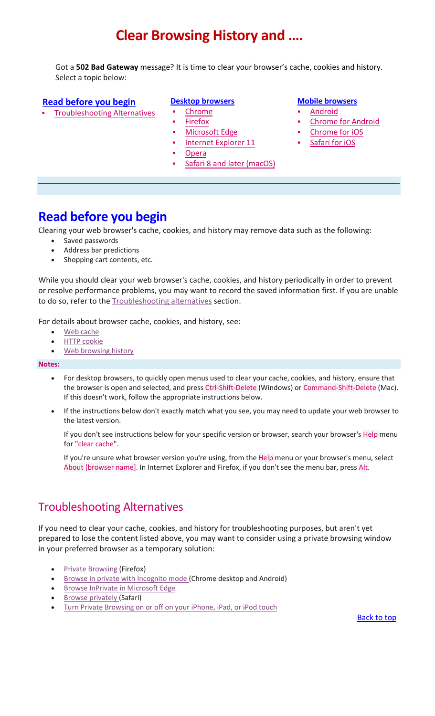# **Clear Browsing History and ….**

<span id="page-0-2"></span>Got a **502 Bad Gateway** message? It is time to clear your browser's cache, cookies and history. Select a topic below:

#### **[Read before](#page-0-0) you begin**

[Troubleshooting Alternatives](#page-0-1)

#### **[Desktop browsers](#page-1-0)**

- [Chrome](#page-1-1)
- [Firefox](#page-1-2)
- [Microsoft](#page-1-2) Edge
- Internet [Explorer 11](#page-1-2)
- [Opera](#page-1-2)
- Safari 8 and [later \(macOS\)](#page-1-2)

#### **[Mobile browsers](#page-2-0)**

- [Android](#page-2-1)
- [Chrome for Android](#page-2-2)
- Chrome for iOS
- [Safari for iOS](#page-2-2)

## <span id="page-0-0"></span>**Read before you begin**

Clearing your web browser's cache, cookies, and history may remove data such as the following:

- Saved passwords
- Address bar predictions
- Shopping cart contents, etc.

While you should clear your web browser's cache, cookies, and history periodically in order to prevent or resolve performance problems, you may want to record the saved information first. If you are unable to do so, refer to the [Troubleshooting alternatives](#page-0-1) section.

For details about browser cache, cookies, and history, see:

- [Web cache](https://en.wikipedia.org/wiki/Web_cache)
- **HTTP** cookie
- [Web browsing history](https://en.wikipedia.org/wiki/Web_browsing_history)

#### **Notes:**

- For desktop browsers, to quickly open menus used to clear your cache, cookies, and history, ensure that the browser is open and selected, and press Ctrl-Shift-Delete (Windows) or Command-Shift-Delete (Mac). If this doesn't work, follow the appropriate instructions below.
- If the instructions below don't exactly match what you see, you may need to update your web browser to the latest version.

If you don't see instructions below for your specific version or browser, search your browser's Help menu for "clear cache".

If you're unsure what browser version you're using, from the Help menu or your browser's menu, select About [browser name]. In Internet Explorer and Firefox, if you don't see the menu bar, press Alt.

### <span id="page-0-1"></span>Troubleshooting Alternatives

If you need to clear your cache, cookies, and history for troubleshooting purposes, but aren't yet prepared to lose the content listed above, you may want to consider using a private browsing window in your preferred browser as a temporary solution:

- **[Private Browsing](https://support.mozilla.org/en-US/kb/private-browsing-use-firefox-without-history) (Firefox)**
- [Browse in private with Incognito mode](https://support.google.com/chrome/answer/95464?hl=en&co=GENIE.Platform%3DDesktop&oco=1) (Chrome desktop and Android)
- **[Browse InPrivate in Microsoft Edge](https://support.microsoft.com/en-us/help/4026200/microsoft-edge-browse-inprivate)**
- **[Browse privately](https://support.apple.com/guide/safari/browse-in-private-ibrw1069/mac) (Safari)**
- [Turn Private Browsing on or off on your iPhone, iPad, or iPod touch](https://support.apple.com/en-us/HT203036)

**[Back to top](#page-0-2)**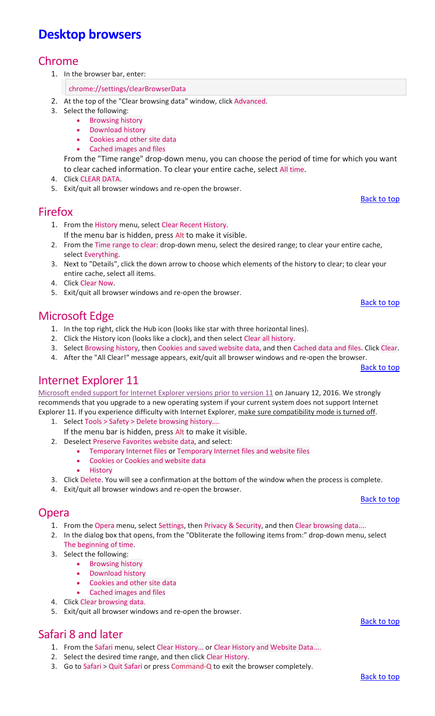# <span id="page-1-2"></span><span id="page-1-0"></span>**Desktop browsers**

#### Chrome

- <span id="page-1-1"></span>1. In the browser bar, enter:
	- chrome://settings/clearBrowserData
- 2. At the top of the "Clear browsing data" window, click Advanced.
- 3. Select the following:
	- Browsing history
	- Download history
	- Cookies and other site data
	- Cached images and files

From the "Time range" drop-down menu, you can choose the period of time for which you want to clear cached information. To clear your entire cache, select All time.

- 4. Click CLEAR DATA.
- 5. Exit/quit all browser windows and re-open the browser.

#### Firefox

- 1. From the History menu, select Clear Recent History.
- If the menu bar is hidden, press Alt to make it visible.
- 2. From the Time range to clear: drop-down menu, select the desired range; to clear your entire cache, select Everything.
- 3. Next to "Details", click the down arrow to choose which elements of the history to clear; to clear your entire cache, select all items.
- 4. Click Clear Now.
- 5. Exit/quit all browser windows and re-open the browser.

### Microsoft Edge

- 1. In the top right, click the Hub icon (looks like star with three horizontal lines).
- 2. Click the History icon (looks like a clock), and then select Clear all history.
- 3. Select Browsing history, then Cookies and saved website data, and then Cached data and files. Click Clear.
- 4. After the "All Clear!" message appears, exit/quit all browser windows and re-open the browser.

### Internet Explorer 11

[Microsoft ended support for Internet Explorer versions prior to version 11 o](https://www.microsoft.com/en-us/WindowsForBusiness/End-of-IE-support)n January 12, 2016. We strongly recommends that you upgrade to a new operating system if your current system does not support Internet Explorer 11. If you experience difficulty with Internet Explorer, make sure compatibility mode is turned off.

- 1. Select Tools > Safety > Delete browsing history.... If the menu bar is hidden, press Alt to make it visible.
- 2. Deselect Preserve Favorites website data, and select:
	- Temporary Internet files or Temporary Internet files and website files
	- Cookies or Cookies and website data
	- **History**
- 3. Click Delete. You will see a confirmation at the bottom of the window when the process is complete.
- 4. Exit/quit all browser windows and re-open the browser.

#### Opera

- 1. From the Opera menu, select Settings, then Privacy & Security, and then Clear browsing data....
- 2. In the dialog box that opens, from the "Obliterate the following items from:" drop-down menu, select The beginning of time.
- 3. Select the following:
	- Browsing history
		- Download history
		- Cookies and other site data
		- Cached images and files
- 4. Click Clear browsing data.
- 5. Exit/quit all browser windows and re-open the browser.

## Safari 8 and later

- 1. From the Safari menu, select Clear History... or Clear History and Website Data....
- 2. Select the desired time range, and then click Clear History.
- 3. Go to Safari > Quit Safari or press Command-Q to exit the browser completely.

# [Back to top](#page-0-2)

[Back to top](#page-0-2)

[Back to top](#page-0-2)

[Back to top](#page-0-2)